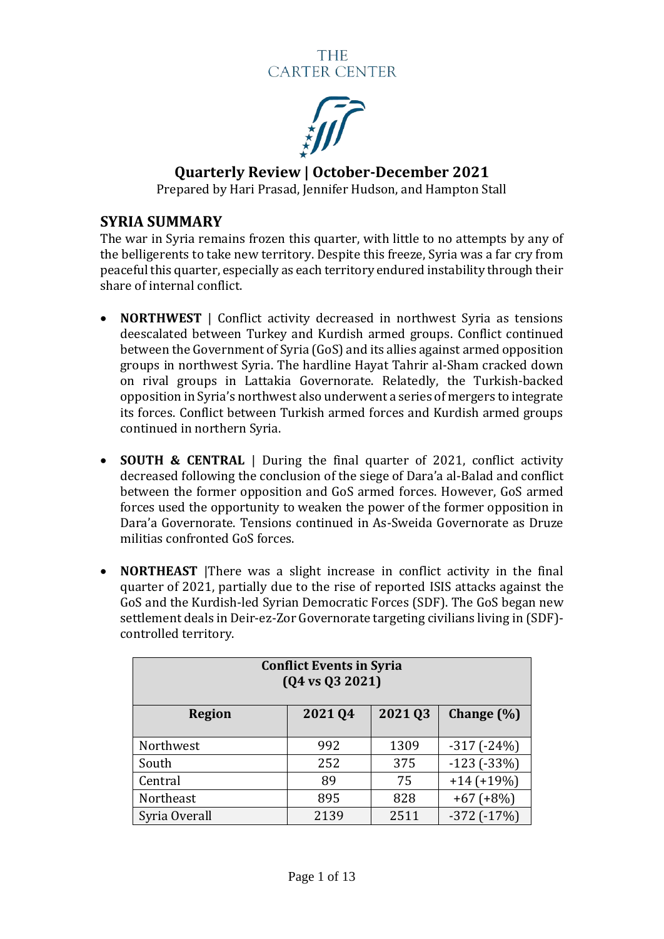

**Quarterly Review | October-December 2021**

Prepared by Hari Prasad, Jennifer Hudson, and Hampton Stall

#### **SYRIA SUMMARY**

The war in Syria remains frozen this quarter, with little to no attempts by any of the belligerents to take new territory. Despite this freeze, Syria was a far cry from peaceful this quarter, especially as each territory endured instability through their share of internal conflict.

- **NORTHWEST** | Conflict activity decreased in northwest Syria as tensions deescalated between Turkey and Kurdish armed groups. Conflict continued between the Government of Syria (GoS) and its allies against armed opposition groups in northwest Syria. The hardline Hayat Tahrir al-Sham cracked down on rival groups in Lattakia Governorate. Relatedly, the Turkish-backed opposition in Syria's northwest also underwent a series of mergers to integrate its forces. Conflict between Turkish armed forces and Kurdish armed groups continued in northern Syria.
- **SOUTH & CENTRAL** | During the final quarter of 2021, conflict activity decreased following the conclusion of the siege of Dara'a al-Balad and conflict between the former opposition and GoS armed forces. However, GoS armed forces used the opportunity to weaken the power of the former opposition in Dara'a Governorate. Tensions continued in As-Sweida Governorate as Druze militias confronted GoS forces.
- **NORTHEAST** |There was a slight increase in conflict activity in the final quarter of 2021, partially due to the rise of reported ISIS attacks against the GoS and the Kurdish-led Syrian Democratic Forces (SDF). The GoS began new settlement deals in Deir-ez-Zor Governorate targeting civilians living in (SDF) controlled territory.

| <b>Conflict Events in Syria</b><br>$(Q4 \text{ vs } Q3 \text{ } 2021)$ |         |         |                 |  |  |
|------------------------------------------------------------------------|---------|---------|-----------------|--|--|
| <b>Region</b>                                                          | 2021 Q4 | 2021 03 | Change $(\%)$   |  |  |
| Northwest                                                              | 992     | 1309    | $-317(-24%)$    |  |  |
| South                                                                  | 252     | 375     | $-123(-33%)$    |  |  |
| Central                                                                | 89      | 75      | $+14 (+19%)$    |  |  |
| Northeast                                                              | 895     | 828     | $+67 (+8%)$     |  |  |
| Syria Overall                                                          | 2139    | 2511    | $-372$ $(-17%)$ |  |  |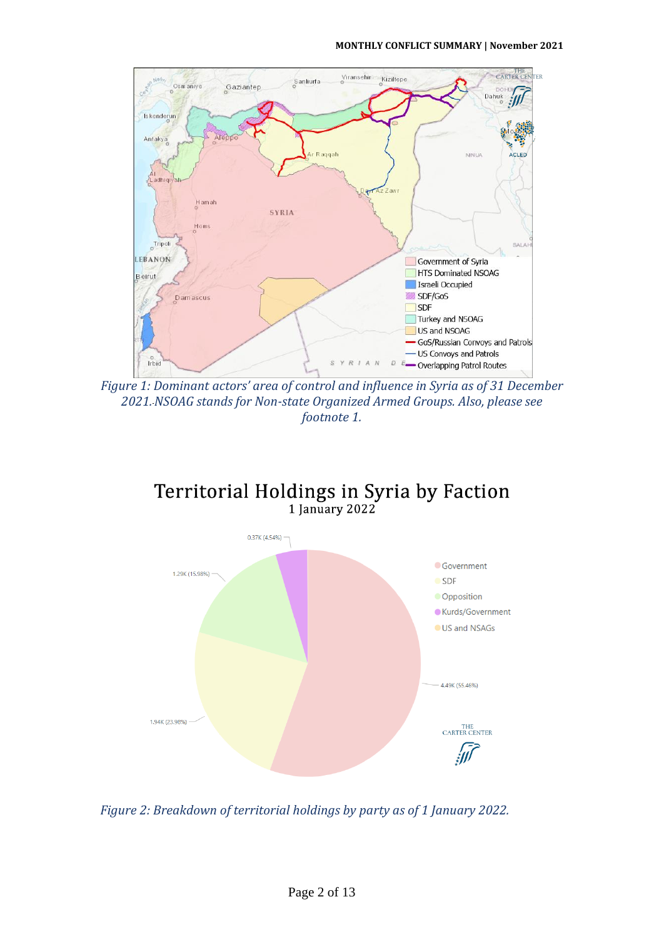

*Figure 1: Dominant actors' area of control and influence in Syria as of 31 December 2021.NSOAG stands for Non-state Organized Armed Groups. Also, please see footnote 1.*

# Territorial Holdings in Syria by Faction<br>1 January 2022



*Figure 2: Breakdown of territorial holdings by party as of 1 January 2022.*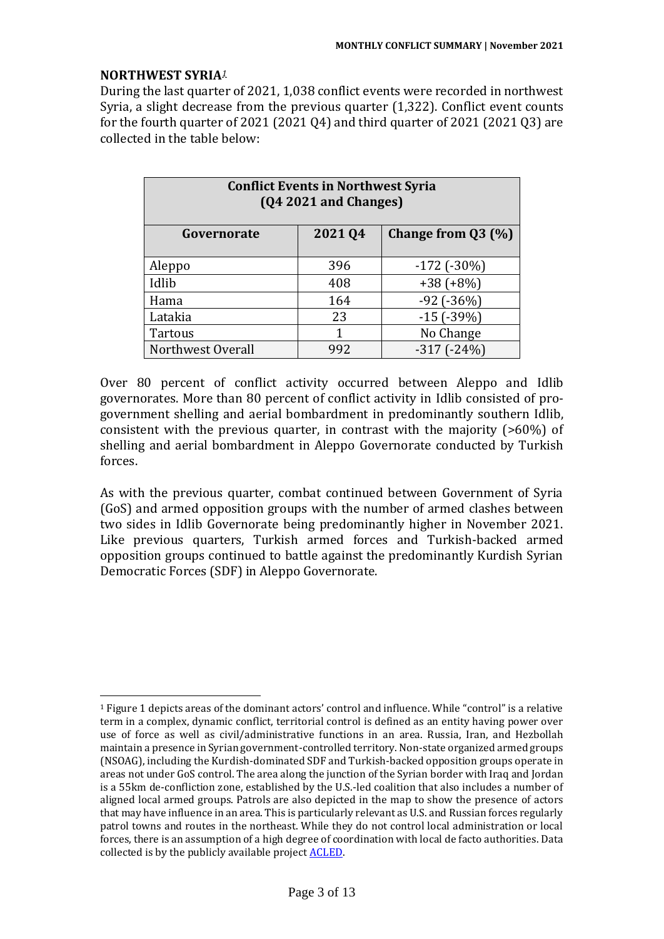#### **NORTHWEST SYRIA***<sup>1</sup>*

During the last quarter of 2021, 1,038 conflict events were recorded in northwest Syria, a slight decrease from the previous quarter (1,322). Conflict event counts for the fourth quarter of 2021 (2021 Q4) and third quarter of 2021 (2021 Q3) are collected in the table below:

| <b>Conflict Events in Northwest Syria</b><br>(Q4 2021 and Changes) |        |                      |  |  |
|--------------------------------------------------------------------|--------|----------------------|--|--|
| Governorate                                                        | 202104 | Change from $Q3$ (%) |  |  |
| Aleppo                                                             | 396    | $-172$ ( $-30\%$ )   |  |  |
| Idlib                                                              | 408    | $+38 (+8%)$          |  |  |
| Hama                                                               | 164    | $-92$ ( $-36\%$ )    |  |  |
| Latakia                                                            | 23     | $-15$ ( $-39%$ )     |  |  |
| Tartous                                                            |        | No Change            |  |  |
| Northwest Overall                                                  | 992    | $-317(-24%)$         |  |  |

Over 80 percent of conflict activity occurred between Aleppo and Idlib governorates. More than 80 percent of conflict activity in Idlib consisted of progovernment shelling and aerial bombardment in predominantly southern Idlib, consistent with the previous quarter, in contrast with the majority (>60%) of shelling and aerial bombardment in Aleppo Governorate conducted by Turkish forces.

As with the previous quarter, combat continued between Government of Syria (GoS) and armed opposition groups with the number of armed clashes between two sides in Idlib Governorate being predominantly higher in November 2021. Like previous quarters, Turkish armed forces and Turkish-backed armed opposition groups continued to battle against the predominantly Kurdish Syrian Democratic Forces (SDF) in Aleppo Governorate.

<sup>1</sup> Figure 1 depicts areas of the dominant actors' control and influence. While "control" is a relative term in a complex, dynamic conflict, territorial control is defined as an entity having power over use of force as well as civil/administrative functions in an area. Russia, Iran, and Hezbollah maintain a presence in Syrian government-controlled territory. Non-state organized armed groups (NSOAG), including the Kurdish-dominated SDF and Turkish-backed opposition groups operate in areas not under GoS control. The area along the junction of the Syrian border with Iraq and Jordan is a 55km de-confliction zone, established by the U.S.-led coalition that also includes a number of aligned local armed groups. Patrols are also depicted in the map to show the presence of actors that may have influence in an area. This is particularly relevant as U.S. and Russian forces regularly patrol towns and routes in the northeast. While they do not control local administration or local forces, there is an assumption of a high degree of coordination with local de facto authorities. Data collected is by the publicly available projec[t ACLED.](https://acleddata.com/#/dashboard)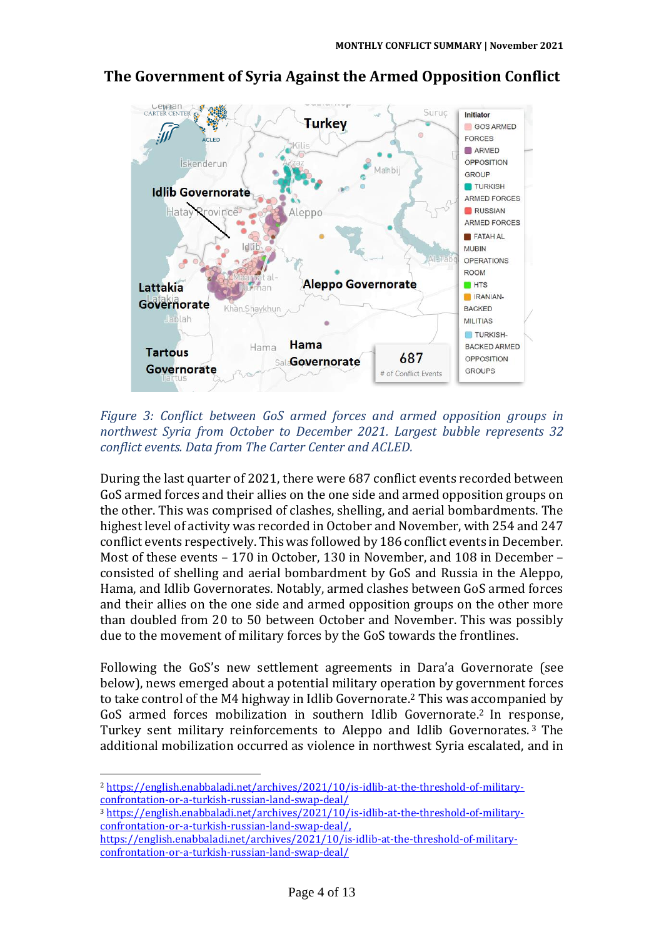

#### **The Government of Syria Against the Armed Opposition Conflict**

*Figure 3: Conflict between GoS armed forces and armed opposition groups in northwest Syria from October to December 2021. Largest bubble represents 32 conflict events. Data from The Carter Center and ACLED.*

During the last quarter of 2021, there were 687 conflict events recorded between GoS armed forces and their allies on the one side and armed opposition groups on the other. This was comprised of clashes, shelling, and aerial bombardments. The highest level of activity was recorded in October and November, with 254 and 247 conflict events respectively. This was followed by 186 conflict events in December. Most of these events – 170 in October, 130 in November, and 108 in December – consisted of shelling and aerial bombardment by GoS and Russia in the Aleppo, Hama, and Idlib Governorates. Notably, armed clashes between GoS armed forces and their allies on the one side and armed opposition groups on the other more than doubled from 20 to 50 between October and November. This was possibly due to the movement of military forces by the GoS towards the frontlines.

Following the GoS's new settlement agreements in Dara'a Governorate (see below), news emerged about a potential military operation by government forces to take control of the M4 highway in Idlib Governorate. <sup>2</sup> This was accompanied by GoS armed forces mobilization in southern Idlib Governorate. <sup>2</sup> In response, Turkey sent military reinforcements to Aleppo and Idlib Governorates. <sup>3</sup> The additional mobilization occurred as violence in northwest Syria escalated, and in

<sup>2</sup> [https://english.enabbaladi.net/archives/2021/10/is-idlib-at-the-threshold-of-military](https://english.enabbaladi.net/archives/2021/10/is-idlib-at-the-threshold-of-military-confrontation-or-a-turkish-russian-land-swap-deal/)[confrontation-or-a-turkish-russian-land-swap-deal/](https://english.enabbaladi.net/archives/2021/10/is-idlib-at-the-threshold-of-military-confrontation-or-a-turkish-russian-land-swap-deal/)

<sup>3</sup> [https://english.enabbaladi.net/archives/2021/10/is-idlib-at-the-threshold-of-military](https://english.enabbaladi.net/archives/2021/10/is-idlib-at-the-threshold-of-military-confrontation-or-a-turkish-russian-land-swap-deal/)[confrontation-or-a-turkish-russian-land-swap-deal/,](https://english.enabbaladi.net/archives/2021/10/is-idlib-at-the-threshold-of-military-confrontation-or-a-turkish-russian-land-swap-deal/) 

[https://english.enabbaladi.net/archives/2021/10/is-idlib-at-the-threshold-of-military](https://english.enabbaladi.net/archives/2021/10/is-idlib-at-the-threshold-of-military-confrontation-or-a-turkish-russian-land-swap-deal/)[confrontation-or-a-turkish-russian-land-swap-deal/](https://english.enabbaladi.net/archives/2021/10/is-idlib-at-the-threshold-of-military-confrontation-or-a-turkish-russian-land-swap-deal/)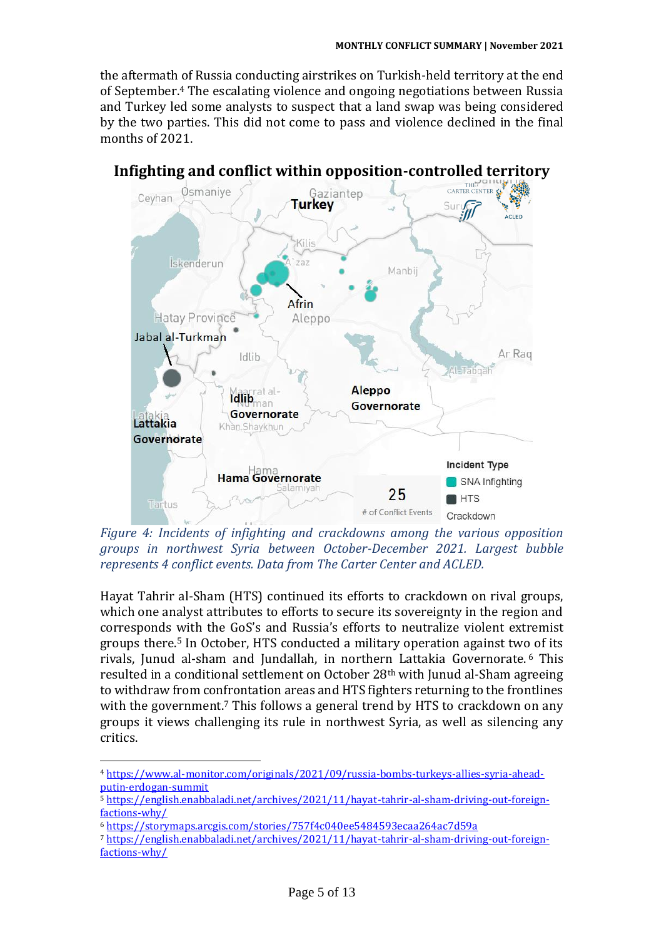the aftermath of Russia conducting airstrikes on Turkish-held territory at the end of September.<sup>4</sup> The escalating violence and ongoing negotiations between Russia and Turkey led some analysts to suspect that a land swap was being considered by the two parties. This did not come to pass and violence declined in the final months of 2021.



*Figure 4: Incidents of infighting and crackdowns among the various opposition groups in northwest Syria between October-December 2021. Largest bubble represents 4 conflict events. Data from The Carter Center and ACLED.*

Hayat Tahrir al-Sham (HTS) continued its efforts to crackdown on rival groups, which one analyst attributes to efforts to secure its sovereignty in the region and corresponds with the GoS's and Russia's efforts to neutralize violent extremist groups there.<sup>5</sup> In October, HTS conducted a military operation against two of its rivals, Junud al-sham and Jundallah, in northern Lattakia Governorate. <sup>6</sup> This resulted in a conditional settlement on October 28th with Junud al-Sham agreeing to withdraw from confrontation areas and HTS fighters returning to the frontlines with the government.<sup>7</sup> This follows a general trend by HTS to crackdown on any groups it views challenging its rule in northwest Syria, as well as silencing any critics.

<sup>4</sup> [https://www.al-monitor.com/originals/2021/09/russia-bombs-turkeys-allies-syria-ahead](https://www.al-monitor.com/originals/2021/09/russia-bombs-turkeys-allies-syria-ahead-putin-erdogan-summit)[putin-erdogan-summit](https://www.al-monitor.com/originals/2021/09/russia-bombs-turkeys-allies-syria-ahead-putin-erdogan-summit)

<sup>5</sup> [https://english.enabbaladi.net/archives/2021/11/hayat-tahrir-al-sham-driving-out-foreign](https://english.enabbaladi.net/archives/2021/11/hayat-tahrir-al-sham-driving-out-foreign-factions-why/)[factions-why/](https://english.enabbaladi.net/archives/2021/11/hayat-tahrir-al-sham-driving-out-foreign-factions-why/)

<sup>6</sup> <https://storymaps.arcgis.com/stories/757f4c040ee5484593ecaa264ac7d59a>

<sup>7</sup> [https://english.enabbaladi.net/archives/2021/11/hayat-tahrir-al-sham-driving-out-foreign](https://english.enabbaladi.net/archives/2021/11/hayat-tahrir-al-sham-driving-out-foreign-factions-why/)[factions-why/](https://english.enabbaladi.net/archives/2021/11/hayat-tahrir-al-sham-driving-out-foreign-factions-why/)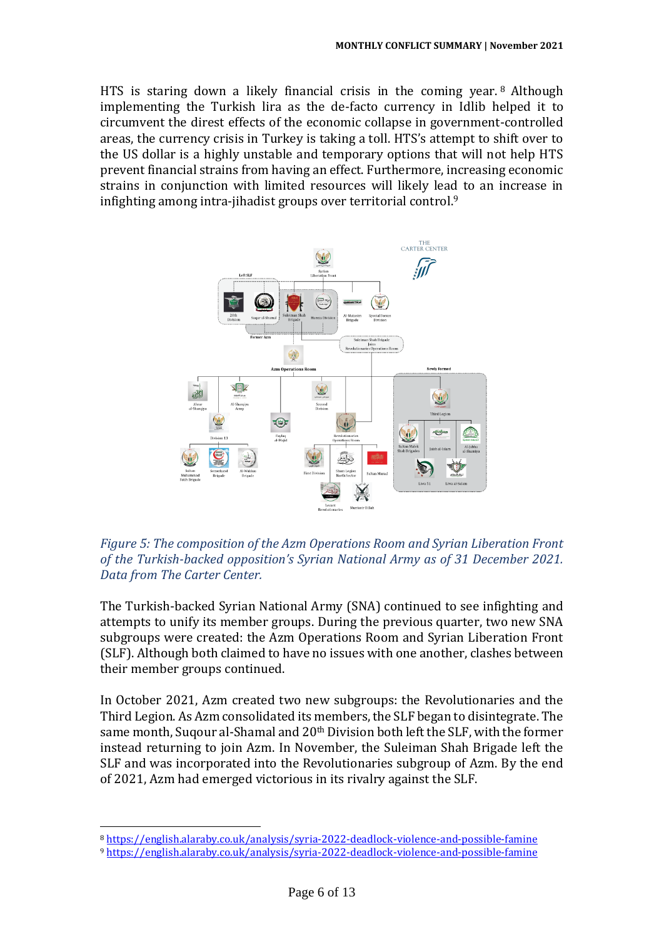HTS is staring down a likely financial crisis in the coming year. <sup>8</sup> Although implementing the Turkish lira as the de-facto currency in Idlib helped it to circumvent the direst effects of the economic collapse in government-controlled areas, the currency crisis in Turkey is taking a toll. HTS's attempt to shift over to the US dollar is a highly unstable and temporary options that will not help HTS prevent financial strains from having an effect. Furthermore, increasing economic strains in conjunction with limited resources will likely lead to an increase in infighting among intra-jihadist groups over territorial control. $9$ 



*Figure 5: The composition of the Azm Operations Room and Syrian Liberation Front of the Turkish-backed opposition's Syrian National Army as of 31 December 2021. Data from The Carter Center.*

The Turkish-backed Syrian National Army (SNA) continued to see infighting and attempts to unify its member groups. During the previous quarter, two new SNA subgroups were created: the Azm Operations Room and Syrian Liberation Front (SLF). Although both claimed to have no issues with one another, clashes between their member groups continued.

In October 2021, Azm created two new subgroups: the Revolutionaries and the Third Legion. As Azm consolidated its members, the SLF began to disintegrate. The same month, Suqour al-Shamal and 20th Division both left the SLF, with the former instead returning to join Azm. In November, the Suleiman Shah Brigade left the SLF and was incorporated into the Revolutionaries subgroup of Azm. By the end of 2021, Azm had emerged victorious in its rivalry against the SLF.

<sup>8</sup> <https://english.alaraby.co.uk/analysis/syria-2022-deadlock-violence-and-possible-famine>

<sup>9</sup> <https://english.alaraby.co.uk/analysis/syria-2022-deadlock-violence-and-possible-famine>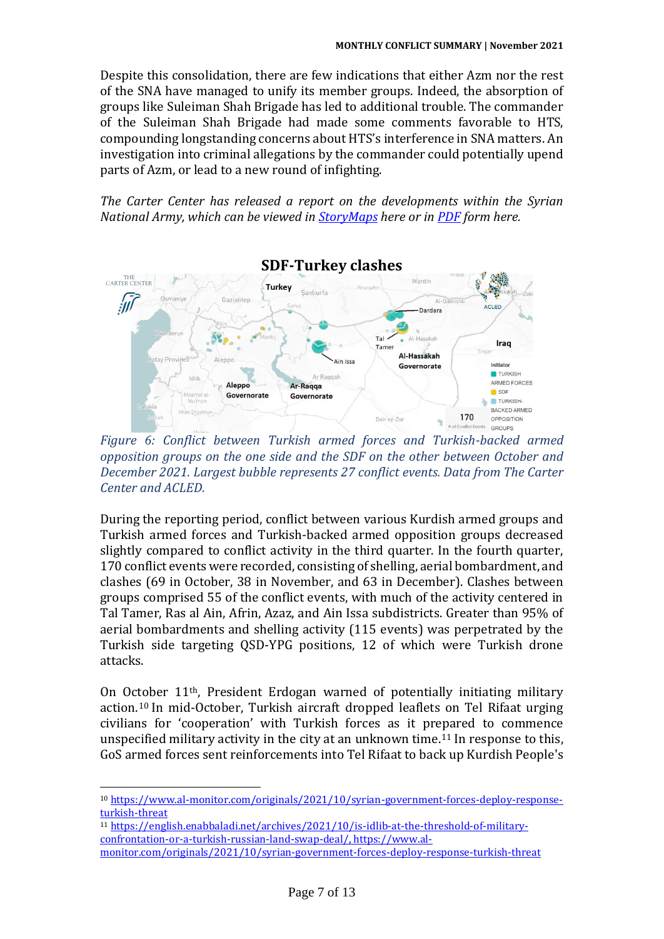Despite this consolidation, there are few indications that either Azm nor the rest of the SNA have managed to unify its member groups. Indeed, the absorption of groups like Suleiman Shah Brigade has led to additional trouble. The commander of the Suleiman Shah Brigade had made some comments favorable to HTS, compounding longstanding concerns about HTS's interference in SNA matters. An investigation into criminal allegations by the commander could potentially upend parts of Azm, or lead to a new round of infighting.

*The Carter Center has released a report on the developments within the Syrian National Army, which can be viewed in [StoryMaps](https://storymaps.arcgis.com/stories/a26567f1de4e4f27820e555fb5fce3b1) here or in [PDF](https://www.cartercenter.org/resources/pdfs/peace/conflict_resolution/syria-conflict/2022/state-of-the-syrian-national-army-march-2022.pdf) form here.*



*Figure 6: Conflict between Turkish armed forces and Turkish-backed armed opposition groups on the one side and the SDF on the other between October and December 2021. Largest bubble represents 27 conflict events. Data from The Carter Center and ACLED.*

During the reporting period, conflict between various Kurdish armed groups and Turkish armed forces and Turkish-backed armed opposition groups decreased slightly compared to conflict activity in the third quarter. In the fourth quarter, 170 conflict events were recorded, consisting of shelling, aerial bombardment, and clashes (69 in October, 38 in November, and 63 in December). Clashes between groups comprised 55 of the conflict events, with much of the activity centered in Tal Tamer, Ras al Ain, Afrin, Azaz, and Ain Issa subdistricts. Greater than 95% of aerial bombardments and shelling activity (115 events) was perpetrated by the Turkish side targeting QSD-YPG positions, 12 of which were Turkish drone attacks.

On October 11th, President Erdogan warned of potentially initiating military action.<sup>10</sup> In mid-October, Turkish aircraft dropped leaflets on Tel Rifaat urging civilians for 'cooperation' with Turkish forces as it prepared to commence unspecified military activity in the city at an unknown time.<sup>11</sup> In response to this, GoS armed forces sent reinforcements into Tel Rifaat to back up Kurdish People's

<sup>11</sup> [https://english.enabbaladi.net/archives/2021/10/is-idlib-at-the-threshold-of-military](https://english.enabbaladi.net/archives/2021/10/is-idlib-at-the-threshold-of-military-confrontation-or-a-turkish-russian-land-swap-deal/)[confrontation-or-a-turkish-russian-land-swap-deal/,](https://english.enabbaladi.net/archives/2021/10/is-idlib-at-the-threshold-of-military-confrontation-or-a-turkish-russian-land-swap-deal/) [https://www.al](https://www.al-monitor.com/originals/2021/10/syrian-government-forces-deploy-response-turkish-threat)[monitor.com/originals/2021/10/syrian-government-forces-deploy-response-turkish-threat](https://www.al-monitor.com/originals/2021/10/syrian-government-forces-deploy-response-turkish-threat)

<sup>10</sup> [https://www.al-monitor.com/originals/2021/10/syrian-government-forces-deploy-response](https://www.al-monitor.com/originals/2021/10/syrian-government-forces-deploy-response-turkish-threat)[turkish-threat](https://www.al-monitor.com/originals/2021/10/syrian-government-forces-deploy-response-turkish-threat)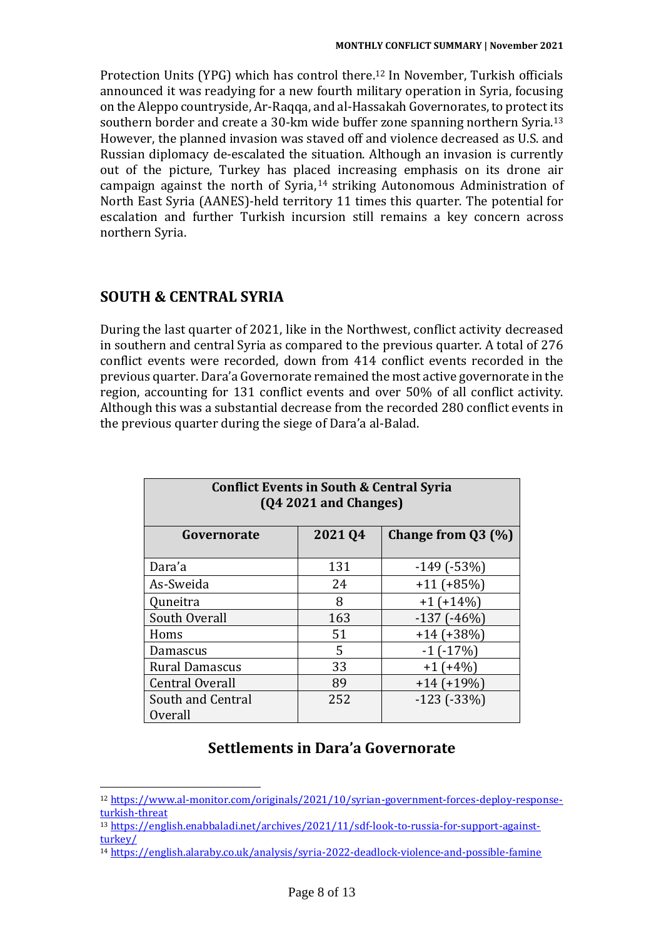Protection Units (YPG) which has control there.<sup>12</sup> In November, Turkish officials announced it was readying for a new fourth military operation in Syria, focusing on the Aleppo countryside, Ar-Raqqa, and al-Hassakah Governorates, to protect its southern border and create a 30-km wide buffer zone spanning northern Syria.<sup>13</sup> However, the planned invasion was staved off and violence decreased as U.S. and Russian diplomacy de-escalated the situation. Although an invasion is currently out of the picture, Turkey has placed increasing emphasis on its drone air campaign against the north of Syria, <sup>14</sup> striking Autonomous Administration of North East Syria (AANES)-held territory 11 times this quarter. The potential for escalation and further Turkish incursion still remains a key concern across northern Syria.

# **SOUTH & CENTRAL SYRIA**

During the last quarter of 2021, like in the Northwest, conflict activity decreased in southern and central Syria as compared to the previous quarter. A total of 276 conflict events were recorded, down from 414 conflict events recorded in the previous quarter. Dara'a Governorate remained the most active governorate in the region, accounting for 131 conflict events and over 50% of all conflict activity. Although this was a substantial decrease from the recorded 280 conflict events in the previous quarter during the siege of Dara'a al-Balad.

| <b>Conflict Events in South &amp; Central Syria</b><br>$(Q4 2021$ and Changes) |        |                      |  |  |
|--------------------------------------------------------------------------------|--------|----------------------|--|--|
| Governorate                                                                    | 202104 | Change from $Q3$ (%) |  |  |
| Dara'a                                                                         | 131    | $-149$ ( $-53\%$ )   |  |  |
| As-Sweida                                                                      | 24     | $+11 (+85%)$         |  |  |
| Quneitra                                                                       | 8      | $+1$ (+14%)          |  |  |
| South Overall                                                                  | 163    | $-137$ ( $-46\%$ )   |  |  |
| Homs                                                                           | 51     | $+14(+38%)$          |  |  |
| Damascus                                                                       | 5      | $-1$ ( $-17\%$ )     |  |  |
| <b>Rural Damascus</b>                                                          | 33     | $+1$ (+4%)           |  |  |
| <b>Central Overall</b>                                                         | 89     | $+14(+19\%)$         |  |  |
| South and Central<br>Overall                                                   | 252    | $-123$ ( $-33%$ )    |  |  |

## **Settlements in Dara'a Governorate**

<sup>12</sup> [https://www.al-monitor.com/originals/2021/10/syrian-government-forces-deploy-response](https://www.al-monitor.com/originals/2021/10/syrian-government-forces-deploy-response-turkish-threat)[turkish-threat](https://www.al-monitor.com/originals/2021/10/syrian-government-forces-deploy-response-turkish-threat)

<sup>13</sup> [https://english.enabbaladi.net/archives/2021/11/sdf-look-to-russia-for-support-against](https://english.enabbaladi.net/archives/2021/11/sdf-look-to-russia-for-support-against-turkey/)[turkey/](https://english.enabbaladi.net/archives/2021/11/sdf-look-to-russia-for-support-against-turkey/)

<sup>14</sup> <https://english.alaraby.co.uk/analysis/syria-2022-deadlock-violence-and-possible-famine>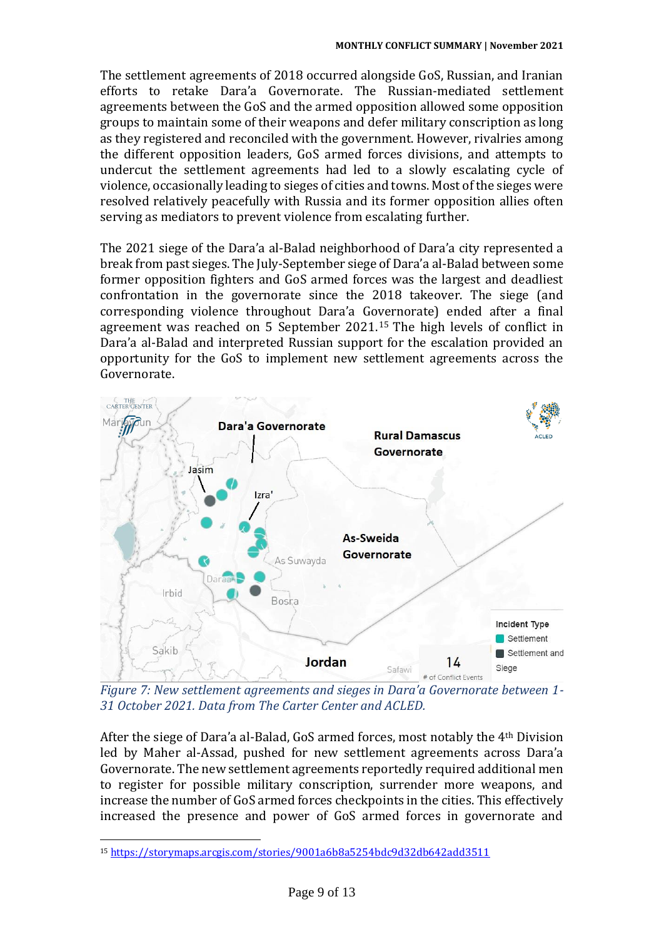The settlement agreements of 2018 occurred alongside GoS, Russian, and Iranian efforts to retake Dara'a Governorate. The Russian-mediated settlement agreements between the GoS and the armed opposition allowed some opposition groups to maintain some of their weapons and defer military conscription as long as they registered and reconciled with the government. However, rivalries among the different opposition leaders, GoS armed forces divisions, and attempts to undercut the settlement agreements had led to a slowly escalating cycle of violence, occasionally leading to sieges of cities and towns. Most of the sieges were resolved relatively peacefully with Russia and its former opposition allies often serving as mediators to prevent violence from escalating further.

The 2021 siege of the Dara'a al-Balad neighborhood of Dara'a city represented a break from past sieges. The July-September siege of Dara'a al-Balad between some former opposition fighters and GoS armed forces was the largest and deadliest confrontation in the governorate since the 2018 takeover. The siege (and corresponding violence throughout Dara'a Governorate) ended after a final agreement was reached on 5 September 2021. <sup>15</sup> The high levels of conflict in Dara'a al-Balad and interpreted Russian support for the escalation provided an opportunity for the GoS to implement new settlement agreements across the Governorate.



*Figure 7: New settlement agreements and sieges in Dara'a Governorate between 1- 31 October 2021. Data from The Carter Center and ACLED.* 

After the siege of Dara'a al-Balad, GoS armed forces, most notably the 4th Division led by Maher al-Assad, pushed for new settlement agreements across Dara'a Governorate. The new settlement agreements reportedly required additional men to register for possible military conscription, surrender more weapons, and increase the number of GoS armed forces checkpoints in the cities. This effectively increased the presence and power of GoS armed forces in governorate and

<sup>15</sup> <https://storymaps.arcgis.com/stories/9001a6b8a5254bdc9d32db642add3511>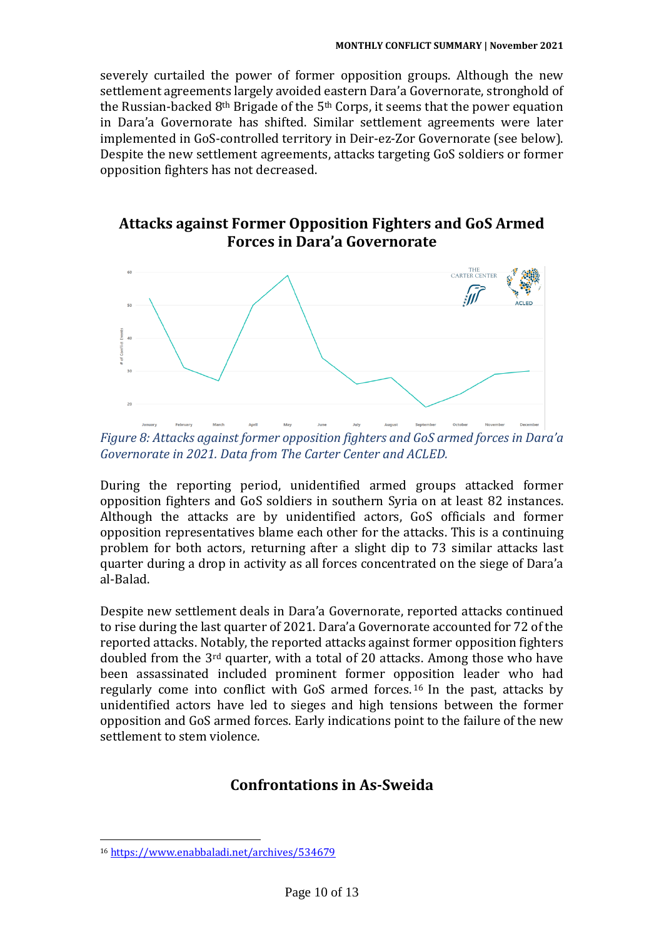severely curtailed the power of former opposition groups. Although the new settlement agreements largely avoided eastern Dara'a Governorate, stronghold of the Russian-backed  $8<sup>th</sup>$  Brigade of the  $5<sup>th</sup>$  Corps, it seems that the power equation in Dara'a Governorate has shifted. Similar settlement agreements were later implemented in GoS-controlled territory in Deir-ez-Zor Governorate (see below). Despite the new settlement agreements, attacks targeting GoS soldiers or former opposition fighters has not decreased.

# **Attacks against Former Opposition Fighters and GoS Armed Forces in Dara'a Governorate**



*Figure 8: Attacks against former opposition fighters and GoS armed forces in Dara'a Governorate in 2021. Data from The Carter Center and ACLED.*

During the reporting period, unidentified armed groups attacked former opposition fighters and GoS soldiers in southern Syria on at least 82 instances. Although the attacks are by unidentified actors, GoS officials and former opposition representatives blame each other for the attacks. This is a continuing problem for both actors, returning after a slight dip to 73 similar attacks last quarter during a drop in activity as all forces concentrated on the siege of Dara'a al-Balad.

Despite new settlement deals in Dara'a Governorate, reported attacks continued to rise during the last quarter of 2021. Dara'a Governorate accounted for 72 of the reported attacks. Notably, the reported attacks against former opposition fighters doubled from the 3rd quarter, with a total of 20 attacks. Among those who have been assassinated included prominent former opposition leader who had regularly come into conflict with GoS armed forces. <sup>16</sup> In the past, attacks by unidentified actors have led to sieges and high tensions between the former opposition and GoS armed forces. Early indications point to the failure of the new settlement to stem violence.

## **Confrontations in As-Sweida**

<sup>16</sup> <https://www.enabbaladi.net/archives/534679>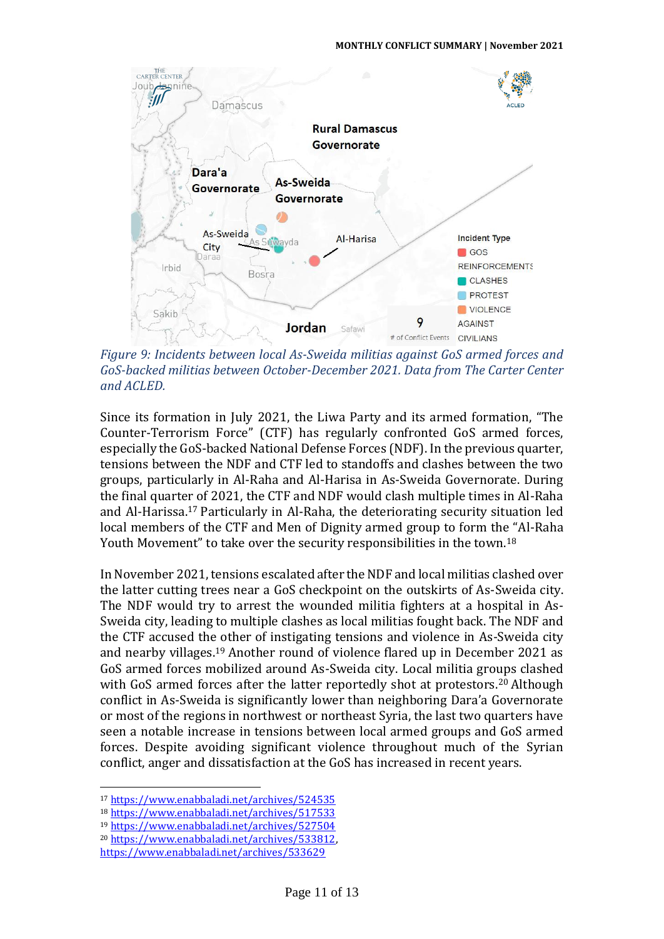

*Figure 9: Incidents between local As-Sweida militias against GoS armed forces and GoS-backed militias between October-December 2021. Data from The Carter Center and ACLED.*

Since its formation in July 2021, the Liwa Party and its armed formation, "The Counter-Terrorism Force" (CTF) has regularly confronted GoS armed forces, especially the GoS-backed National Defense Forces (NDF). In the previous quarter, tensions between the NDF and CTF led to standoffs and clashes between the two groups, particularly in Al-Raha and Al-Harisa in As-Sweida Governorate. During the final quarter of 2021, the CTF and NDF would clash multiple times in Al-Raha and Al-Harissa.<sup>17</sup> Particularly in Al-Raha, the deteriorating security situation led local members of the CTF and Men of Dignity armed group to form the "Al-Raha Youth Movement" to take over the security responsibilities in the town.<sup>18</sup>

In November 2021, tensions escalated after the NDF and local militias clashed over the latter cutting trees near a GoS checkpoint on the outskirts of As-Sweida city. The NDF would try to arrest the wounded militia fighters at a hospital in As-Sweida city, leading to multiple clashes as local militias fought back. The NDF and the CTF accused the other of instigating tensions and violence in As-Sweida city and nearby villages.<sup>19</sup> Another round of violence flared up in December 2021 as GoS armed forces mobilized around As-Sweida city. Local militia groups clashed with GoS armed forces after the latter reportedly shot at protestors.<sup>20</sup> Although conflict in As-Sweida is significantly lower than neighboring Dara'a Governorate or most of the regions in northwest or northeast Syria, the last two quarters have seen a notable increase in tensions between local armed groups and GoS armed forces. Despite avoiding significant violence throughout much of the Syrian conflict, anger and dissatisfaction at the GoS has increased in recent years.

<sup>17</sup> <https://www.enabbaladi.net/archives/524535>

<sup>18</sup> <https://www.enabbaladi.net/archives/517533>

<sup>19</sup> <https://www.enabbaladi.net/archives/527504>

<sup>20</sup> [https://www.enabbaladi.net/archives/533812,](https://www.enabbaladi.net/archives/533812)

<https://www.enabbaladi.net/archives/533629>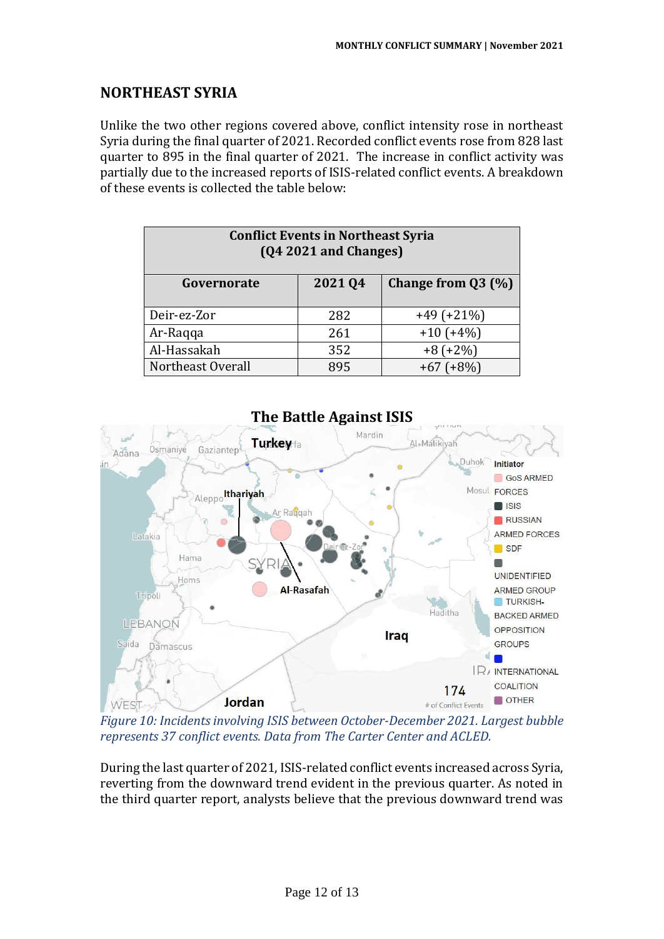# **NORTHEAST SYRIA**

Unlike the two other regions covered above, conflict intensity rose in northeast Syria during the final quarter of 2021. Recorded conflict events rose from 828 last quarter to 895 in the final quarter of 2021. The increase in conflict activity was partially due to the increased reports of ISIS-related conflict events. A breakdown of these events is collected the table below:

| <b>Conflict Events in Northeast Syria</b><br>(Q4 2021 and Changes) |        |                      |  |  |
|--------------------------------------------------------------------|--------|----------------------|--|--|
| Governorate                                                        | 202104 | Change from $Q3$ (%) |  |  |
| Deir-ez-Zor                                                        | 282    | $+49 (+21%)$         |  |  |
| Ar-Raqqa                                                           | 261    | $+10 (+4%)$          |  |  |
| Al-Hassakah                                                        | 352    | $+8 (+2%)$           |  |  |
| Northeast Overall                                                  | 895    | $+8\%)$              |  |  |



*Figure 10: Incidents involving ISIS between October-December 2021. Largest bubble represents 37 conflict events. Data from The Carter Center and ACLED.*

During the last quarter of 2021, ISIS-related conflict events increased across Syria, reverting from the downward trend evident in the previous quarter. As noted in the third quarter report, analysts believe that the previous downward trend was